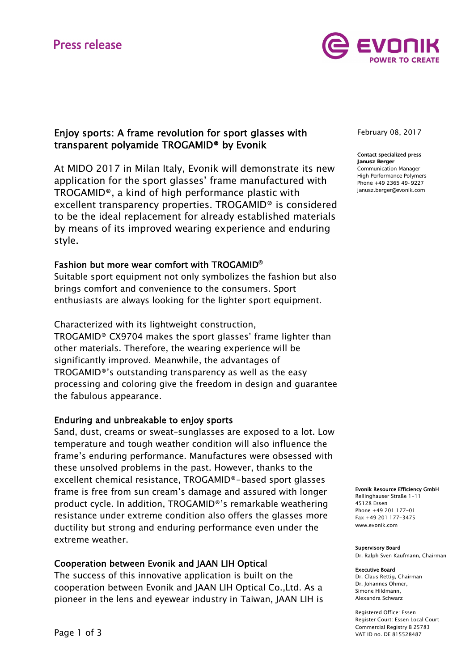# **Press release**



# Enjoy sports: A frame revolution for sport glasses with transparent polyamide TROGAMID® by Evonik

At MIDO 2017 in Milan Italy, Evonik will demonstrate its new application for the sport glasses' frame manufactured with TROGAMID®, a kind of high performance plastic with excellent transparency properties. TROGAMID® is considered to be the ideal replacement for already established materials by means of its improved wearing experience and enduring style.

## Fashion but more wear comfort with TROGAMID**®**

Suitable sport equipment not only symbolizes the fashion but also brings comfort and convenience to the consumers. Sport enthusiasts are always looking for the lighter sport equipment.

Characterized with its lightweight construction, TROGAMID® CX9704 makes the sport glasses' frame lighter than other materials. Therefore, the wearing experience will be significantly improved. Meanwhile, the advantages of TROGAMID®'s outstanding transparency as well as the easy processing and coloring give the freedom in design and guarantee the fabulous appearance.

## Enduring and unbreakable to enjoy sports

Sand, dust, creams or sweat–sunglasses are exposed to a lot. Low temperature and tough weather condition will also influence the frame's enduring performance. Manufactures were obsessed with these unsolved problems in the past. However, thanks to the excellent chemical resistance, TROGAMID®-based sport glasses frame is free from sun cream's damage and assured with longer product cycle. In addition, TROGAMID®'s remarkable weathering resistance under extreme condition also offers the glasses more ductility but strong and enduring performance even under the extreme weather.

## Cooperation between Evonik and JAAN LIH Optical

The success of this innovative application is built on the cooperation between Evonik and JAAN LIH Optical Co.,Ltd. As a pioneer in the lens and eyewear industry in Taiwan, JAAN LIH is

February 08, 2017

## Contact specialized press

Janusz Berger Communication Manager High Performance Polymers Phone +49 2365 49-9227 janusz.berger@evonik.com

Evonik Resource Efficiency GmbH

Rellinghauser Straße 1-11 45128 Essen Phone +49 201 177-01 Fax +49 201 177-3475 www.evonik.com

#### Supervisory Board

Dr. Ralph Sven Kaufmann, Chairman

#### Executive Board

Dr. Claus Rettig, Chairman Dr. Johannes Ohmer, Simone Hildmann, Alexandra Schwarz

Registered Office: Essen Register Court: Essen Local Court Commercial Registry B 25783 VAT ID no. DE 815528487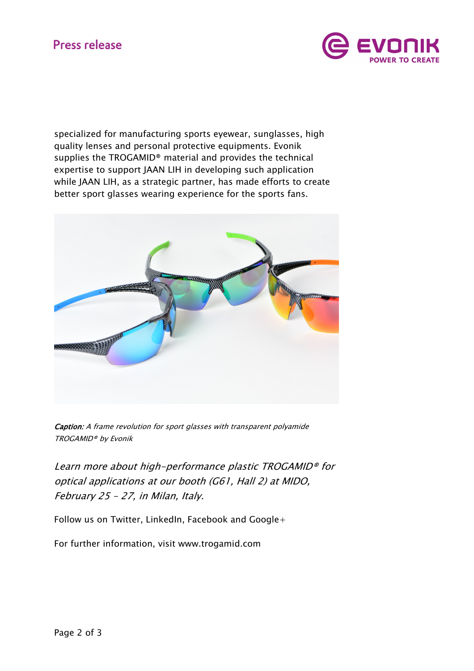# **Press release**



specialized for manufacturing sports eyewear, sunglasses, high quality lenses and personal protective equipments. Evonik supplies the TROGAMID® material and provides the technical expertise to support JAAN LIH in developing such application while JAAN LIH, as a strategic partner, has made efforts to create better sport glasses wearing experience for the sports fans.



Caption: A frame revolution for sport glasses with transparent polyamide TROGAMID® by Evonik

Learn more about high-performance plastic TROGAMID® for optical applications at our booth (G61, Hall 2) at MIDO, February 25 – 27, in Milan, Italy.

Follow us on Twitter, LinkedIn, Facebook and Google+

For further information, visit www.trogamid.com